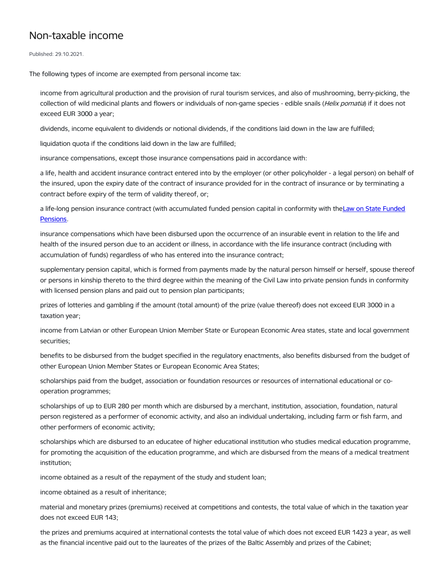## Non-taxable income

Published: 29.10.2021.

The following types of income are exempted from personal income tax:

income from agricultural production and the provision of rural tourism services, and also of mushrooming, berry-picking, the collection of wild medicinal plants and flowers or individuals of non-game species - edible snails (Helix pomatia) if it does not exceed EUR 3000 a year;

dividends, income equivalent to dividends or notional dividends, if the conditions laid down in the law are fulfilled;

liquidation quota if the conditions laid down in the law are fulfilled;

insurance compensations, except those insurance compensations paid in accordance with:

a life, health and accident insurance contract entered into by the employer (or other policyholder - a legal person) on behalf of the insured, upon the expiry date of the contract of insurance provided for in the contract of insurance or by terminating a contract before expiry of the term of validity thereof, or;

a life-long pension insurance contract (with [accumulated](https://likumi.lv/ta/en/en/id/2341-law-on-state-funded-pensions) funded pension capital in conformity with theLaw on State Funded Pensions.

insurance compensations which have been disbursed upon the occurrence of an insurable event in relation to the life and health of the insured person due to an accident or illness, in accordance with the life insurance contract (including with accumulation of funds) regardless of who has entered into the insurance contract;

supplementary pension capital, which is formed from payments made by the natural person himself or herself, spouse thereof or persons in kinship thereto to the third degree within the meaning of the Civil Law into private pension funds in conformity with licensed pension plans and paid out to pension plan participants;

prizes of lotteries and gambling if the amount (total amount) of the prize (value thereof) does not exceed EUR 3000 in a taxation year;

income from Latvian or other European Union Member State or European Economic Area states, state and local government securities;

benefits to be disbursed from the budget specified in the regulatory enactments, also benefits disbursed from the budget of other European Union Member States or European Economic Area States;

scholarships paid from the budget, association or foundation resources or resources of international educational or cooperation programmes;

scholarships of up to EUR 280 per month which are disbursed by a merchant, institution, association, foundation, natural person registered as a performer of economic activity, and also an individual undertaking, including farm or fish farm, and other performers of economic activity;

scholarships which are disbursed to an educatee of higher educational institution who studies medical education programme, for promoting the acquisition of the education programme, and which are disbursed from the means of a medical treatment institution;

income obtained as a result of the repayment of the study and student loan;

income obtained as a result of inheritance;

material and monetary prizes (premiums) received at competitions and contests, the total value of which in the taxation year does not exceed EUR 143;

the prizes and premiums acquired at international contests the total value of which does not exceed EUR 1423 a year, as well as the financial incentive paid out to the laureates of the prizes of the Baltic Assembly and prizes of the Cabinet;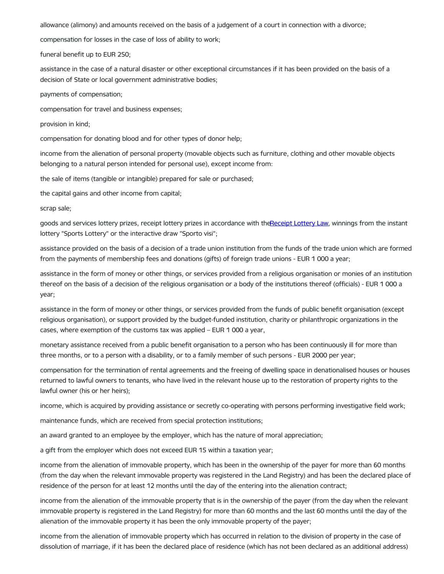allowance (alimony) and amounts received on the basis of a judgement of a court in connection with a divorce;

compensation for losses in the case of loss of ability to work;

funeral benefit up to EUR 250;

assistance in the case of a natural disaster or other exceptional circumstances if it has been provided on the basis of a decision of State or local government administrative bodies;

payments of compensation;

compensation for travel and business expenses;

provision in kind;

compensation for donating blood and for other types of donor help;

income from the alienation of personal property (movable objects such as furniture, clothing and other movable objects belonging to a natural person intended for personal use), except income from:

the sale of items (tangible or intangible) prepared for sale or purchased;

the capital gains and other income from capital;

scrap sale;

goods and services lottery prizes, receipt lottery prizes in accordance with th[eReceipt](https://likumi.lv/ta/id/302997-ceku-loterijas-likums) Lottery Law, winnings from the instant lottery "Sports Lottery" or the interactive draw "Sporto visi";

assistance provided on the basis of a decision of a trade union institution from the funds of the trade union which are formed from the payments of membership fees and donations (gifts) of foreign trade unions - EUR 1 000 a year;

assistance in the form of money or other things, or services provided from a religious organisation or monies of an institution thereof on the basis of a decision of the religious organisation or a body of the institutions thereof (officials) - EUR 1 000 a year;

assistance in the form of money or other things, or services provided from the funds of public benefit organisation (except religious organisation), or support provided by the budget-funded institution, charity or philanthropic organizations in the cases, where exemption of the customs tax was applied – EUR 1 000 a year,

monetary assistance received from a public benefit organisation to a person who has been continuously ill for more than three months, or to a person with a disability, or to a family member of such persons - EUR 2000 per year;

compensation for the termination of rental agreements and the freeing of dwelling space in denationalised houses or houses returned to lawful owners to tenants, who have lived in the relevant house up to the restoration of property rights to the lawful owner (his or her heirs);

income, which is acquired by providing assistance or secretly co-operating with persons performing investigative field work;

maintenance funds, which are received from special protection institutions;

an award granted to an employee by the employer, which has the nature of moral appreciation;

a gift from the employer which does not exceed EUR 15 within a taxation year;

income from the alienation of immovable property, which has been in the ownership of the payer for more than 60 months (from the day when the relevant immovable property was registered in the Land Registry) and has been the declared place of residence of the person for at least 12 months until the day of the entering into the alienation contract;

income from the alienation of the immovable property that is in the ownership of the payer (from the day when the relevant immovable property is registered in the Land Registry) for more than 60 months and the last 60 months until the day of the alienation of the immovable property it has been the only immovable property of the payer;

income from the alienation of immovable property which has occurred in relation to the division of property in the case of dissolution of marriage, if it has been the declared place of residence (which has not been declared as an additional address)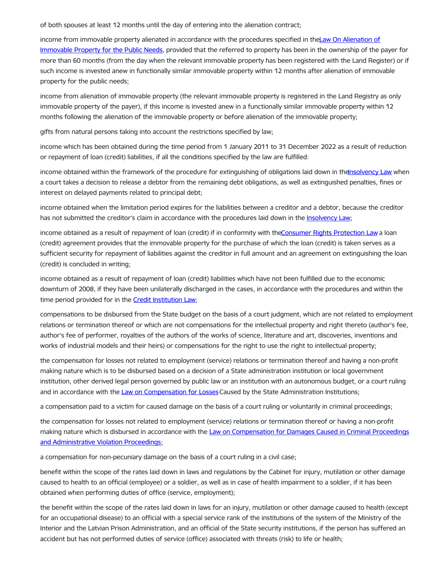of both spouses at least 12 months until the day of entering into the alienation contract;

income from immovable property alienated in [accordance](https://likumi.lv/ta/en/en/id/220517-law-on-the-alienation-of-immovable-property-necessary-for-public-needs) with the procedures specified in theLaw On Alienation of Immovable Property for the Public Needs, provided that the referred to property has been in the ownership of the payer for more than 60 months (from the day when the relevant immovable property has been registered with the Land Register) or if such income is invested anew in functionally similar immovable property within 12 months after alienation of immovable property for the public needs;

income from alienation of immovable property (the relevant immovable property is registered in the Land Registry as only immovable property of the payer), if this income is invested anew in a functionally similar immovable property within 12 months following the alienation of the immovable property or before alienation of the immovable property;

gifts from natural persons taking into account the restrictions specified by law;

income which has been obtained during the time period from 1 January 2011 to 31 December 2022 as a result of reduction or repayment of loan (credit) liabilities, if all the conditions specified by the law are fulfilled:

income obtained within the framework of the procedure for extinguishing of obligations laid down in the nsolvency Law when a court takes a decision to release a debtor from the remaining debt obligations, as well as extinguished penalties, fines or interest on delayed payments related to principal debt;

income obtained when the limitation period expires for the liabilities between a creditor and a debtor, because the creditor has not submitted the creditor's claim in accordance with the procedures laid down in the [Insolvency](https://likumi.lv/ta/en/en/id/214590-insolvency-law) Law;

income obtained as a result of repayment of loan (credit) if in conformity with the Consumer Rights [Protection](https://likumi.lv/ta/en/en/id/23309-consumer-rights-protection-law) Law a loan (credit) agreement provides that the immovable property for the purchase of which the loan (credit) is taken serves as a sufficient security for repayment of liabilities against the creditor in full amount and an agreement on extinguishing the loan (credit) is concluded in writing;

income obtained as a result of repayment of loan (credit) liabilities which have not been fulfilled due to the economic downturn of 2008, if they have been unilaterally discharged in the cases, in accordance with the procedures and within the time period provided for in the **Credit [Institution](https://likumi.lv/ta/en/en/id/37426-credit-institution-law) Law**;

compensations to be disbursed from the State budget on the basis of a court judgment, which are not related to employment relations or termination thereof or which are not compensations for the intellectual property and right thereto (author's fee, author's fee of performer, royalties of the authors of the works of science, literature and art, discoveries, inventions and works of industrial models and their heirs) or compensations for the right to use the right to intellectual property;

the compensation for losses not related to employment (service) relations or termination thereof and having a non-profit making nature which is to be disbursed based on a decision of a State administration institution or local government institution, other derived legal person governed by public law or an institution with an autonomous budget, or a court ruling and in accordance with the Law on [Compensation](https://likumi.lv/ta/id/110746-valsts-parvaldes-iestazu-nodarito-zaudejumu-atlidzinasanas-likums) for Losses Caused by the State Administration Institutions;

a compensation paid to a victim for caused damage on the basis of a court ruling or voluntarily in criminal proceedings;

the compensation for losses not related to employment (service) relations or termination thereof or having a non-profit making nature which is disbursed in accordance with the Law on [Compensation](https://likumi.lv/ta/id/295926-kriminalprocesa-un-administrativo-parkapumu-lietvediba-nodarita-kaitejuma-atlidzinasanas-likums) for Damages Caused in Criminal Proceedings and Administrative Violation Proceedings;

a compensation for non-pecuniary damage on the basis of a court ruling in a civil case;

benefit within the scope of the rates laid down in laws and regulations by the Cabinet for injury, mutilation or other damage caused to health to an official (employee) or a soldier, as well as in case of health impairment to a soldier, if it has been obtained when performing duties of office (service, employment);

the benefit within the scope of the rates laid down in laws for an injury, mutilation or other damage caused to health (except for an occupational disease) to an official with a special service rank of the institutions of the system of the Ministry of the Interior and the Latvian Prison Administration, and an official of the State security institutions, if the person has suffered an accident but has not performed duties of service (office) associated with threats (risk) to life or health;